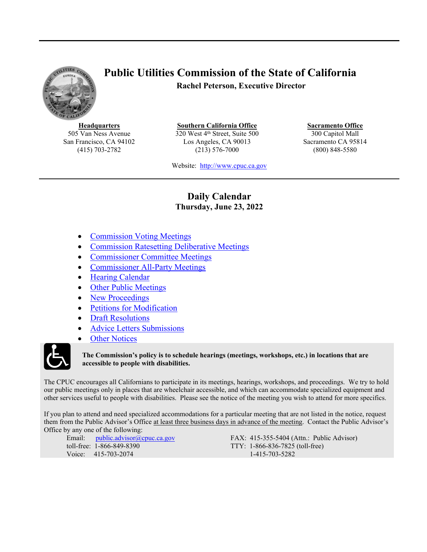<span id="page-0-1"></span>

# **Public Utilities Commission of the State of California Rachel Peterson, Executive Director**

**Headquarters** 505 Van Ness Avenue San Francisco, CA 94102 (415) 703-2782

**Southern California Office** 320 West 4<sup>th</sup> Street, Suite 500 Los Angeles, CA 90013 (213) 576-7000

**Sacramento Office** 300 Capitol Mall Sacramento CA 95814 (800) 848-5580

Website: [http://www.cpuc.ca.gov](file://gc5filesrv231/VDI-AppData/CW4/AppData/Roaming/OpenText/OTEdit/cs_cpuc_ca_gov-otcs/c323758965/www.cpuc.ca.gov)

### **Daily Calendar Thursday, June 23, 2022**

- <span id="page-0-0"></span>[Commission](#page-1-0) Voting Meeting[s](#page-1-0)
- [Commission](#page-1-1) Ratesetting Deliberati[ve](#page-1-2) Meeting[s](#page-1-1)
- [Commissioner](#page-1-2) Committee Meetings
- [Commissioner](#page-1-3) All-Party Meetings
- Hearing [Calendar](#page-1-4)
- Other Public [Meetings](#page-7-0)
- New [Proceedings](#page-8-0)
- Petitions for [Modification](#page-8-1)
- Draft [Resolutions](#page-8-2)
- Advice Letters [Submissions](#page-12-0)
- Other [Notices](#page-12-1)



#### **The Commission's policy is to schedule hearings (meetings, workshops, etc.) in locations that are accessible to people with disabilities.**

The CPUC encourages all Californians to participate in its meetings, hearings, workshops, and proceedings. We try to hold our public meetings only in places that are wheelchair accessible, and which can accommodate specialized equipment and other services useful to people with disabilities. Please see the notice of the meeting you wish to attend for more specifics.

If you plan to attend and need specialized accommodations for a particular meeting that are not listed in the notice, request them from the Public Advisor's Office at least three business days in advance of the meeting. Contact the Public Advisor's Office by any one of the following:

Email: [public.advisor@cpuc.ca.gov](file://gc5filesrv231/VDI-AppData/CW4/AppData/Roaming/OpenText/OTEdit/cs_cpuc_ca_gov-otcs/c323758965/public.advisor@cpuc.ca.gov) toll-free: 1-866-849-8390 Voice: 415-703-2074

FAX: 415-355-5404 (Attn.: Public Advisor) TTY: 1-866-836-7825 (toll-free) 1-415-703-5282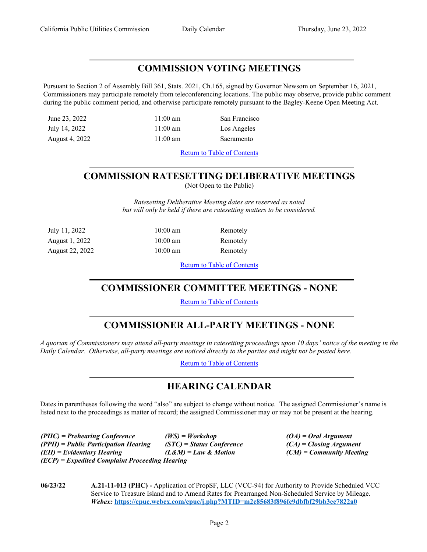### <span id="page-1-0"></span>**COMMISSION VOTING MEETINGS**

Pursuant to Section 2 of Assembly Bill 361, Stats. 2021, Ch.165, signed by Governor Newsom on September 16, 2021, Commissioners may participate remotely from teleconferencing locations. The public may observe, provide public comment during the public comment period, and otherwise participate remotely pursuant to the Bagley-Keene Open Meeting Act.

June 23, 2022 11:00 am San Francisco

July 14, 2022 11:00 am Los Angeles

August 4, 2022 11:00 am Sacramento

Return to Table of [Contents](#page-0-0)

# <span id="page-1-1"></span>**COMMISSION RATESETTING DELIBERATIVE MEETINGS**

(Not Open to the Public)

*Ratesetting Deliberative Meeting dates are reserved as noted but will only be held if there are ratesetting matters to be considered.*

| July 11, 2022   |  |
|-----------------|--|
| August 1, 2022  |  |
| August 22, 2022 |  |

10:00 am Remotely 10:00 am Remotely 10:00 am Remotely

Return to Table of [Contents](#page-0-1)

# <span id="page-1-2"></span>**COMMISSIONER COMMITTEE MEETINGS - NONE**

Return to Table of [Contents](#page-0-0)

# <span id="page-1-3"></span>**COMMISSIONER ALL-PARTY MEETINGS - NONE**

A quorum of Commissioners may attend all-party meetings in ratesetting proceedings upon 10 days' notice of the meeting in the *Daily Calendar. Otherwise, all-party meetings are noticed directly to the parties and might not be posted here.*

Return to Table of [Contents](#page-0-0)

# <span id="page-1-4"></span>**HEARING CALENDAR**

Dates in parentheses following the word "also" are subject to change without notice. The assigned Commissioner's name is listed next to the proceedings as matter of record; the assigned Commissioner may or may not be present at the hearing.

*(PHC) = Prehearing Conference (WS) = Workshop (OA) = Oral Argument (PPH) = Public Participation Hearing (STC) = Status Conference (CA) = Closing Argument (EH) = Evidentiary Hearing (L&M) = Law & Motion (CM) = Community Meeting (ECP) = Expedited Complaint Proceeding Hearing*

**06/23/22 A.21-11-013 (PHC) -** Application of PropSF, LLC (VCC-94) for Authority to Provide Scheduled VCC Service to Treasure Island and to Amend Rates for Prearranged Non-Scheduled Service by Mileage. *Webex:* **<https://cpuc.webex.com/cpuc/j.php?MTID=m2c85683f896fc9dbfbf29bb3ee7822a0>**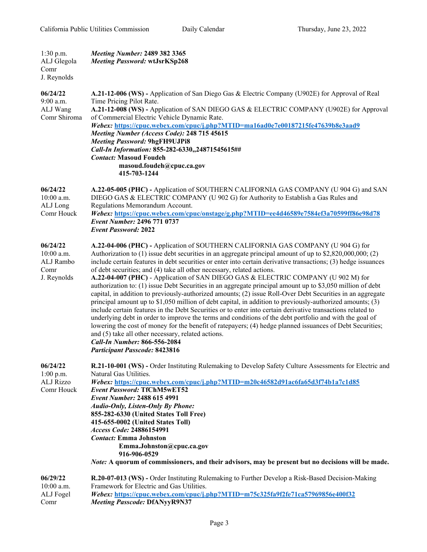| $1:30$ p.m.<br>ALJ Glegola<br>Comr<br>J. Reynolds            | <b>Meeting Number: 2489 382 3365</b><br>Meeting Password: wtJsrKSp268                                                                                                                                                                                                                                                                                                                                                                                                                                                                                                                                                                                                                                                                                                                                                                                                                                                                                                                                                                                                                                                                                                                                                                                                                                 |
|--------------------------------------------------------------|-------------------------------------------------------------------------------------------------------------------------------------------------------------------------------------------------------------------------------------------------------------------------------------------------------------------------------------------------------------------------------------------------------------------------------------------------------------------------------------------------------------------------------------------------------------------------------------------------------------------------------------------------------------------------------------------------------------------------------------------------------------------------------------------------------------------------------------------------------------------------------------------------------------------------------------------------------------------------------------------------------------------------------------------------------------------------------------------------------------------------------------------------------------------------------------------------------------------------------------------------------------------------------------------------------|
| 06/24/22<br>9:00 a.m.<br>ALJ Wang<br>Comr Shiroma            | A.21-12-006 (WS) - Application of San Diego Gas & Electric Company (U902E) for Approval of Real<br>Time Pricing Pilot Rate.<br>A.21-12-008 (WS) - Application of SAN DIEGO GAS & ELECTRIC COMPANY (U902E) for Approval<br>of Commercial Electric Vehicle Dynamic Rate.<br>Webex: https://cpuc.webex.com/cpuc/j.php?MTID=ma16ad0e7e00187215fe47639b8e3aad9<br>Meeting Number (Access Code): 248 715 45615<br><b>Meeting Password: 9hgFH9UJPi8</b><br>Call-In Information: 855-282-6330,,24871545615##<br><b>Contact: Masoud Foudeh</b><br>masoud.foudeh@cpuc.ca.gov<br>415-703-1244                                                                                                                                                                                                                                                                                                                                                                                                                                                                                                                                                                                                                                                                                                                    |
| 06/24/22<br>$10:00$ a.m.<br>ALJ Long<br>Comr Houck           | A.22-05-005 (PHC) - Application of SOUTHERN CALIFORNIA GAS COMPANY (U 904 G) and SAN<br>DIEGO GAS & ELECTRIC COMPANY (U 902 G) for Authority to Establish a Gas Rules and<br>Regulations Memorandum Account.<br>Webex: https://cpuc.webex.com/cpuc/onstage/g.php?MTID=ee4d46589e7584ef3a70599ff86e98d78<br>Event Number: 2496 771 0737<br><b>Event Password: 2022</b>                                                                                                                                                                                                                                                                                                                                                                                                                                                                                                                                                                                                                                                                                                                                                                                                                                                                                                                                 |
| 06/24/22<br>$10:00$ a.m.<br>ALJ Rambo<br>Comr<br>J. Reynolds | A.22-04-006 (PHC) - Application of SOUTHERN CALIFORNIA GAS COMPANY (U 904 G) for<br>Authorization to $(1)$ issue debt securities in an aggregate principal amount of up to \$2,820,000,000; (2)<br>include certain features in debt securities or enter into certain derivative transactions; (3) hedge issuances<br>of debt securities; and (4) take all other necessary, related actions.<br>A.22-04-007 (PHC) - Application of SAN DIEGO GAS & ELECTRIC COMPANY (U 902 M) for<br>authorization to: (1) issue Debt Securities in an aggregate principal amount up to \$3,050 million of debt<br>capital, in addition to previously-authorized amounts; (2) issue Roll-Over Debt Securities in an aggregate<br>principal amount up to \$1,050 million of debt capital, in addition to previously-authorized amounts; (3)<br>include certain features in the Debt Securities or to enter into certain derivative transactions related to<br>underlying debt in order to improve the terms and conditions of the debt portfolio and with the goal of<br>lowering the cost of money for the benefit of ratepayers; (4) hedge planned issuances of Debt Securities;<br>and (5) take all other necessary, related actions.<br><b>Call-In Number: 866-556-2084</b><br><b>Participant Passcode: 8423816</b> |
| 06/24/22<br>$1:00$ p.m.<br><b>ALJ Rizzo</b><br>Comr Houck    | R.21-10-001 (WS) - Order Instituting Rulemaking to Develop Safety Culture Assessments for Electric and<br>Natural Gas Utilities.<br>Webex: https://cpuc.webex.com/cpuc/j.php?MTID=m20c46582d91ac6fa65d3f74b1a7c1d85<br><b>Event Password: TfChM5wET52</b><br>Event Number: 2488 615 4991<br>Audio-Only, Listen-Only By Phone:<br>855-282-6330 (United States Toll Free)<br>415-655-0002 (United States Toll)<br>Access Code: 24886154991<br><b>Contact:</b> Emma Johnston<br>Emma.Johnston@cpuc.ca.gov<br>916-906-0529<br><i>Note:</i> A quorum of commissioners, and their advisors, may be present but no decisions will be made.                                                                                                                                                                                                                                                                                                                                                                                                                                                                                                                                                                                                                                                                   |
| 06/29/22<br>$10:00$ a.m.<br>ALJ Fogel<br>Comr                | R.20-07-013 (WS) - Order Instituting Rulemaking to Further Develop a Risk-Based Decision-Making<br>Framework for Electric and Gas Utilities.<br>Webex: https://cpuc.webex.com/cpuc/j.php?MTID=m75c325fa9f2fe71ca57969856e400f32<br><b>Meeting Passcode: DfANyyR9N37</b>                                                                                                                                                                                                                                                                                                                                                                                                                                                                                                                                                                                                                                                                                                                                                                                                                                                                                                                                                                                                                               |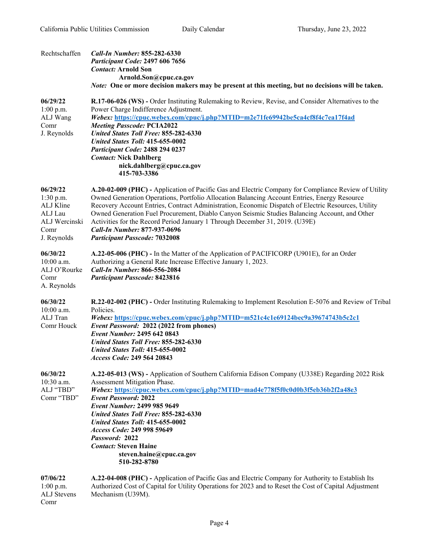| Rechtschaffen                                                                           | Call-In Number: 855-282-6330<br><b>Participant Code: 2497 606 7656</b><br><b>Contact: Arnold Son</b><br>Arnold.Son@cpuc.ca.gov<br><i>Note:</i> One or more decision makers may be present at this meeting, but no decisions will be taken.                                                                                                                                                                                                                                                                                                                           |
|-----------------------------------------------------------------------------------------|----------------------------------------------------------------------------------------------------------------------------------------------------------------------------------------------------------------------------------------------------------------------------------------------------------------------------------------------------------------------------------------------------------------------------------------------------------------------------------------------------------------------------------------------------------------------|
| 06/29/22<br>$1:00$ p.m.<br>ALJ Wang<br>Comr<br>J. Reynolds                              | R.17-06-026 (WS) - Order Instituting Rulemaking to Review, Revise, and Consider Alternatives to the<br>Power Charge Indifference Adjustment.<br>Webex: https://cpuc.webex.com/cpuc/j.php?MTID=m2e71fe69942be5ca4cf8f4c7ea17f4ad<br><b>Meeting Passcode: PCIA2022</b><br><b>United States Toll Free: 855-282-6330</b><br><b>United States Toll: 415-655-0002</b><br>Participant Code: 2488 294 0237<br><b>Contact: Nick Dahlberg</b><br>nick.dahlberg@cpuc.ca.gov<br>415-703-3386                                                                                     |
| 06/29/22<br>$1:30$ p.m.<br>ALJ Kline<br>ALJ Lau<br>ALJ Wercinski<br>Comr<br>J. Reynolds | A.20-02-009 (PHC) - Application of Pacific Gas and Electric Company for Compliance Review of Utility<br>Owned Generation Operations, Portfolio Allocation Balancing Account Entries, Energy Resource<br>Recovery Account Entries, Contract Administration, Economic Dispatch of Electric Resources, Utility<br>Owned Generation Fuel Procurement, Diablo Canyon Seismic Studies Balancing Account, and Other<br>Activities for the Record Period January 1 Through December 31, 2019. (U39E)<br>Call-In Number: 877-937-0696<br><b>Participant Passcode: 7032008</b> |
| 06/30/22<br>10:00 a.m.<br>ALJ O'Rourke<br>Comr<br>A. Reynolds                           | A.22-05-006 (PHC) - In the Matter of the Application of PACIFICORP (U901E), for an Order<br>Authorizing a General Rate Increase Effective January 1, 2023.<br><b>Call-In Number: 866-556-2084</b><br><b>Participant Passcode: 8423816</b>                                                                                                                                                                                                                                                                                                                            |
| 06/30/22<br>10:00 a.m.<br>ALJ Tran<br>Comr Houck                                        | R.22-02-002 (PHC) - Order Instituting Rulemaking to Implement Resolution E-5076 and Review of Tribal<br>Policies.<br>Webex: https://cpuc.webex.com/cpuc/j.php?MTID=m521c4c1e69124bec9a39674743b5c2c1<br>Event Password: 2022 (2022 from phones)<br>Event Number: 2495 642 0843<br><b>United States Toll Free: 855-282-6330</b><br>United States Toll: 415-655-0002<br>Access Code: 249 564 20843                                                                                                                                                                     |
| 06/30/22<br>10:30 a.m.<br>ALJ "TBD"<br>Comr "TBD"                                       | A.22-05-013 (WS) - Application of Southern California Edison Company (U338E) Regarding 2022 Risk<br>Assessment Mitigation Phase.<br>Webex: https://cpuc.webex.com/cpuc/j.php?MTID=mad4e778f5f0c0d0b3f5eb36b2f2a48e3<br><b>Event Password: 2022</b><br><b>Event Number: 2499 985 9649</b><br><b>United States Toll Free: 855-282-6330</b><br><b>United States Toll: 415-655-0002</b><br>Access Code: 249 998 59649<br>Password: 2022<br><b>Contact: Steven Haine</b><br>steven.haine@cpuc.ca.gov<br>510-282-8780                                                      |
| 07/06/22<br>$1:00$ p.m.<br><b>ALJ</b> Stevens                                           | A.22-04-008 (PHC) - Application of Pacific Gas and Electric Company for Authority to Establish Its<br>Authorized Cost of Capital for Utility Operations for 2023 and to Reset the Cost of Capital Adjustment<br>Mechanism (U39M).                                                                                                                                                                                                                                                                                                                                    |

Comr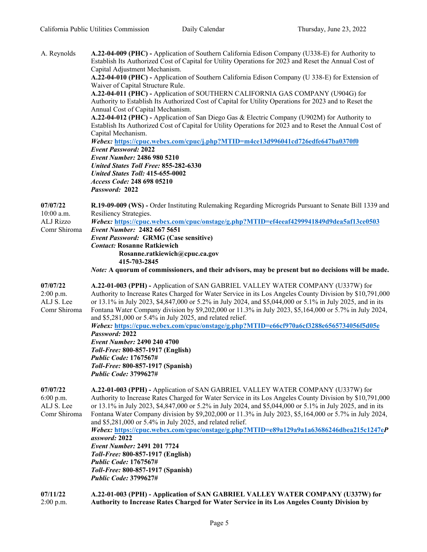2:00 p.m.

| A. Reynolds                                                  | A.22-04-009 (PHC) - Application of Southern California Edison Company (U338-E) for Authority to<br>Establish Its Authorized Cost of Capital for Utility Operations for 2023 and Reset the Annual Cost of<br>Capital Adjustment Mechanism.<br>A.22-04-010 (PHC) - Application of Southern California Edison Company (U 338-E) for Extension of<br>Waiver of Capital Structure Rule.<br>A.22-04-011 (PHC) - Application of SOUTHERN CALIFORNIA GAS COMPANY (U904G) for<br>Authority to Establish Its Authorized Cost of Capital for Utility Operations for 2023 and to Reset the<br>Annual Cost of Capital Mechanism.<br>A.22-04-012 (PHC) - Application of San Diego Gas & Electric Company (U902M) for Authority to<br>Establish Its Authorized Cost of Capital for Utility Operations for 2023 and to Reset the Annual Cost of<br>Capital Mechanism.<br>Webex: https://cpuc.webex.com/cpuc/j.php?MTID=m4ce13d996041cd726edfe647ba0370f0<br><b>Event Password: 2022</b><br><b>Event Number: 2486 980 5210</b><br><b>United States Toll Free: 855-282-6330</b><br>United States Toll: 415-655-0002<br>Access Code: 248 698 05210<br>Password: 2022 |
|--------------------------------------------------------------|---------------------------------------------------------------------------------------------------------------------------------------------------------------------------------------------------------------------------------------------------------------------------------------------------------------------------------------------------------------------------------------------------------------------------------------------------------------------------------------------------------------------------------------------------------------------------------------------------------------------------------------------------------------------------------------------------------------------------------------------------------------------------------------------------------------------------------------------------------------------------------------------------------------------------------------------------------------------------------------------------------------------------------------------------------------------------------------------------------------------------------------------------|
| 07/07/22<br>$10:00$ a.m.<br><b>ALJ Rizzo</b><br>Comr Shiroma | R.19-09-009 (WS) - Order Instituting Rulemaking Regarding Microgrids Pursuant to Senate Bill 1339 and<br>Resiliency Strategies.<br>Webex: https://cpuc.webex.com/cpuc/onstage/g.php?MTID=ef4eeaf4299941849d9dea5af13ce0503<br>Event Number: 2482 667 5651<br><b>Event Password: GRMG (Case sensitive)</b><br><b>Contact: Rosanne Ratkiewich</b><br>Rosanne.ratkiewich@cpuc.ca.gov<br>415-703-2845<br><i>Note:</i> A quorum of commissioners, and their advisors, may be present but no decisions will be made.                                                                                                                                                                                                                                                                                                                                                                                                                                                                                                                                                                                                                                    |
| 07/07/22<br>$2:00$ p.m.<br>ALJ S. Lee<br>Comr Shiroma        | A.22-01-003 (PPH) - Application of SAN GABRIEL VALLEY WATER COMPANY (U337W) for<br>Authority to Increase Rates Charged for Water Service in its Los Angeles County Division by \$10,791,000<br>or 13.1% in July 2023, \$4,847,000 or 5.2% in July 2024, and \$5,044,000 or 5.1% in July 2025, and in its<br>Fontana Water Company division by \$9,202,000 or 11.3% in July 2023, \$5,164,000 or 5.7% in July 2024,<br>and \$5,281,000 or 5.4% in July 2025, and related relief.<br>Webex: https://cpuc.webex.com/cpuc/onstage/g.php?MTID=e66cf970a6cf3288e6565734056f5d05e<br>Password: 2022<br>Event Number: 2490 240 4700<br>Toll-Free: 800-857-1917 (English)<br><b>Public Code: 1767567#</b><br>Toll-Free: 800-857-1917 (Spanish)<br><b>Public Code: 3799627#</b>                                                                                                                                                                                                                                                                                                                                                                             |
| 07/07/22<br>6:00 p.m.<br>ALJ S. Lee<br>Comr Shiroma          | A.22-01-003 (PPH) - Application of SAN GABRIEL VALLEY WATER COMPANY (U337W) for<br>Authority to Increase Rates Charged for Water Service in its Los Angeles County Division by \$10,791,000<br>or 13.1% in July 2023, \$4,847,000 or 5.2% in July 2024, and \$5,044,000 or 5.1% in July 2025, and in its<br>Fontana Water Company division by \$9,202,000 or 11.3% in July 2023, \$5,164,000 or 5.7% in July 2024,<br>and \$5,281,000 or 5.4% in July 2025, and related relief.<br>Webex: https://cpuc.webex.com/cpuc/onstage/g.php?MTID=e89a129a9a1a63686246dbea215c1247eP<br>assword: 2022<br><b>Event Number: 2491 201 7724</b><br>Toll-Free: 800-857-1917 (English)<br><b>Public Code: 1767567#</b><br>Toll-Free: 800-857-1917 (Spanish)<br><b>Public Code: 3799627#</b>                                                                                                                                                                                                                                                                                                                                                                      |
| 07/11/22                                                     | A.22-01-003 (PPH) - Application of SAN GABRIEL VALLEY WATER COMPANY (U337W) for                                                                                                                                                                                                                                                                                                                                                                                                                                                                                                                                                                                                                                                                                                                                                                                                                                                                                                                                                                                                                                                                   |

**Authority to Increase Rates Charged for Water Service in its Los Angeles County Division by**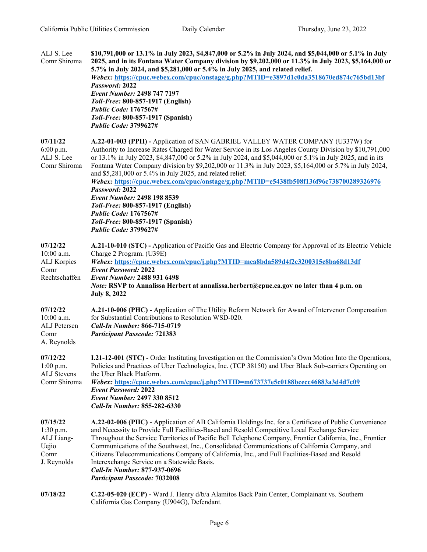| ALJ S. Lee<br>Comr Shiroma                                          | \$10,791,000 or 13.1% in July 2023, \$4,847,000 or 5.2% in July 2024, and \$5,044,000 or 5.1% in July<br>2025, and in its Fontana Water Company division by \$9,202,000 or 11.3% in July 2023, \$5,164,000 or<br>5.7% in July 2024, and \$5,281,000 or 5.4% in July 2025, and related relief.<br>Webex: https://cpuc.webex.com/cpuc/onstage/g.php?MTID=e3897d1c0da3518670ed874c765bd13bf<br>Password: 2022<br><b>Event Number: 2498 747 7197</b><br>Toll-Free: 800-857-1917 (English)<br><b>Public Code: 1767567#</b><br>Toll-Free: 800-857-1917 (Spanish)<br><b>Public Code: 3799627#</b>                                                                                                                                                                            |
|---------------------------------------------------------------------|-----------------------------------------------------------------------------------------------------------------------------------------------------------------------------------------------------------------------------------------------------------------------------------------------------------------------------------------------------------------------------------------------------------------------------------------------------------------------------------------------------------------------------------------------------------------------------------------------------------------------------------------------------------------------------------------------------------------------------------------------------------------------|
| 07/11/22<br>6:00 p.m.<br>ALJ S. Lee<br>Comr Shiroma                 | A.22-01-003 (PPH) - Application of SAN GABRIEL VALLEY WATER COMPANY (U337W) for<br>Authority to Increase Rates Charged for Water Service in its Los Angeles County Division by \$10,791,000<br>or 13.1% in July 2023, \$4,847,000 or 5.2% in July 2024, and \$5,044,000 or 5.1% in July 2025, and in its<br>Fontana Water Company division by \$9,202,000 or 11.3% in July 2023, \$5,164,000 or 5.7% in July 2024,<br>and \$5,281,000 or 5.4% in July 2025, and related relief.<br>Webex: https://cpuc.webex.com/cpuc/onstage/g.php?MTID=e5438fb508f136f96c738700289326976<br>Password: 2022<br>Event Number: 2498 198 8539<br>Toll-Free: 800-857-1917 (English)<br><b>Public Code: 1767567#</b><br>Toll-Free: 800-857-1917 (Spanish)<br><b>Public Code: 3799627#</b> |
| 07/12/22<br>10:00 a.m.<br>ALJ Korpics<br>Comr<br>Rechtschaffen      | A.21-10-010 (STC) - Application of Pacific Gas and Electric Company for Approval of its Electric Vehicle<br>Charge 2 Program. (U39E)<br>Webex: https://cpuc.webex.com/cpuc/j.php?MTID=mca8bda589d4f2c3200315c8ba68d13df<br><b>Event Password: 2022</b><br><b>Event Number: 2488 931 6498</b><br><i>Note:</i> RSVP to Annalissa Herbert at annalissa.herbert@cpuc.ca.gov no later than 4 p.m. on<br><b>July 8, 2022</b>                                                                                                                                                                                                                                                                                                                                                |
| 07/12/22<br>$10:00$ a.m.<br>ALJ Petersen<br>Comr<br>A. Reynolds     | A.21-10-006 (PHC) - Application of The Utility Reform Network for Award of Intervenor Compensation<br>for Substantial Contributions to Resolution WSD-020.<br>Call-In Number: 866-715-0719<br><b>Participant Passcode: 721383</b>                                                                                                                                                                                                                                                                                                                                                                                                                                                                                                                                     |
| 07/12/22<br>$1:00$ p.m.<br><b>ALJ</b> Stevens<br>Comr Shiroma       | <b>I.21-12-001 (STC)</b> - Order Instituting Investigation on the Commission's Own Motion Into the Operations,<br>Policies and Practices of Uber Technologies, Inc. (TCP 38150) and Uber Black Sub-carriers Operating on<br>the Uber Black Platform.<br>Webex: https://cpuc.webex.com/cpuc/j.php?MTID=m673737e5c0188bcecc46883a3d4d7c09<br><b>Event Password: 2022</b><br><b>Event Number: 2497 330 8512</b><br>Call-In Number: 855-282-6330                                                                                                                                                                                                                                                                                                                          |
| 07/15/22<br>1:30 p.m.<br>ALJ Liang-<br>Uejio<br>Comr<br>J. Reynolds | A.22-02-006 (PHC) - Application of AB California Holdings Inc. for a Certificate of Public Convenience<br>and Necessity to Provide Full Facilities-Based and Resold Competitive Local Exchange Service<br>Throughout the Service Territories of Pacific Bell Telephone Company, Frontier California, Inc., Frontier<br>Communications of the Southwest, Inc., Consolidated Communications of California Company, and<br>Citizens Telecommunications Company of California, Inc., and Full Facilities-Based and Resold<br>Interexchange Service on a Statewide Basis.<br>Call-In Number: 877-937-0696<br><b>Participant Passcode: 7032008</b>                                                                                                                          |
| 07/18/22                                                            | C.22-05-020 (ECP) - Ward J. Henry d/b/a Alamitos Back Pain Center, Complainant vs. Southern<br>California Gas Company (U904G), Defendant.                                                                                                                                                                                                                                                                                                                                                                                                                                                                                                                                                                                                                             |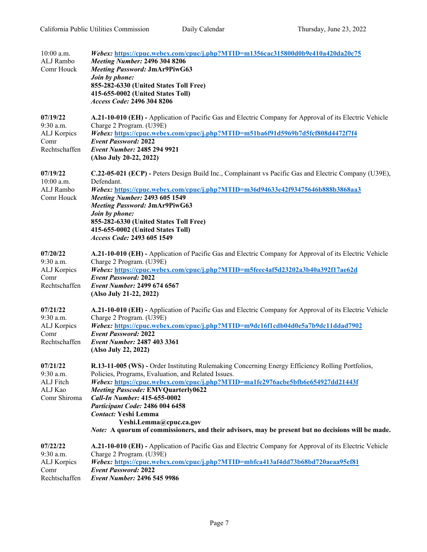| $10:00$ a.m.<br>ALJ Rambo<br>Comr Houck                         | Webex: https://cpuc.webex.com/cpuc/j.php?MTID=m1356cac315800d0b9e410a420da20c75<br><b>Meeting Number: 2496 304 8206</b><br>Meeting Password: JmAr9PiwG63<br>Join by phone:<br>855-282-6330 (United States Toll Free)<br>415-655-0002 (United States Toll)<br>Access Code: 2496 304 8206                                                                                                                                                                                                                                           |
|-----------------------------------------------------------------|-----------------------------------------------------------------------------------------------------------------------------------------------------------------------------------------------------------------------------------------------------------------------------------------------------------------------------------------------------------------------------------------------------------------------------------------------------------------------------------------------------------------------------------|
| 07/19/22<br>9:30 a.m.<br>ALJ Korpics<br>Comr<br>Rechtschaffen   | A.21-10-010 (EH) - Application of Pacific Gas and Electric Company for Approval of its Electric Vehicle<br>Charge 2 Program. (U39E)<br>Webex: https://cpuc.webex.com/cpuc/j.php?MTID=m51ba6f91d5969b7d5fcf808d4472f7f4<br><b>Event Password: 2022</b><br>Event Number: 2485 294 9921<br>(Also July 20-22, 2022)                                                                                                                                                                                                                   |
| 07/19/22<br>$10:00$ a.m.<br>ALJ Rambo<br>Comr Houck             | C.22-05-021 (ECP) - Peters Design Build Inc., Complainant vs Pacific Gas and Electric Company (U39E),<br>Defendant.<br>Webex: https://cpuc.webex.com/cpuc/j.php?MTID=m36d94633e42f93475646b888b3868aa3<br><b>Meeting Number: 2493 605 1549</b><br><b>Meeting Password: JmAr9PiwG63</b><br>Join by phone:<br>855-282-6330 (United States Toll Free)<br>415-655-0002 (United States Toll)<br>Access Code: 2493 605 1549                                                                                                             |
| 07/20/22<br>$9:30$ a.m.<br>ALJ Korpics<br>Comr<br>Rechtschaffen | A.21-10-010 (EH) - Application of Pacific Gas and Electric Company for Approval of its Electric Vehicle<br>Charge 2 Program. (U39E)<br>Webex: https://cpuc.webex.com/cpuc/j.php?MTID=m5feec4af5d23202a3b40a392f17ae62d<br><b>Event Password: 2022</b><br>Event Number: 2499 674 6567<br>(Also July 21-22, 2022)                                                                                                                                                                                                                   |
| 07/21/22<br>9:30 a.m.<br>ALJ Korpics<br>Comr<br>Rechtschaffen   | A.21-10-010 (EH) - Application of Pacific Gas and Electric Company for Approval of its Electric Vehicle<br>Charge 2 Program. (U39E)<br>Webex: https://cpuc.webex.com/cpuc/j.php?MTID=m9dc16f1cdb04d0e5a7b9dc11ddad7902<br><b>Event Password: 2022</b><br>Event Number: 2487 403 3361<br>(Also July 22, 2022)                                                                                                                                                                                                                      |
| 07/21/22<br>$9:30$ a.m.<br>ALJ Fitch<br>ALJ Kao<br>Comr Shiroma | R.13-11-005 (WS) - Order Instituting Rulemaking Concerning Energy Efficiency Rolling Portfolios,<br>Policies, Programs, Evaluation, and Related Issues.<br>Webex: https://cpuc.webex.com/cpuc/j.php?MTID=ma1fe2976acbe5bfb6e654927dd21443f<br><b>Meeting Passcode: EMVQuarterly0622</b><br>Call-In Number: 415-655-0002<br>Participant Code: 2486 004 6458<br><b>Contact: Yeshi Lemma</b><br>Yeshi.Lemma@cpuc.ca.gov<br><i>Note:</i> A quorum of commissioners, and their advisors, may be present but no decisions will be made. |
| 07/22/22<br>$9:30$ a.m.<br>ALJ Korpics<br>Comr<br>Rechtschaffen | A.21-10-010 (EH) - Application of Pacific Gas and Electric Company for Approval of its Electric Vehicle<br>Charge 2 Program. (U39E)<br>Webex: https://cpuc.webex.com/cpuc/j.php?MTID=mbfca413af4dd73b68bd720aeaa95ef81<br><b>Event Password: 2022</b><br><b>Event Number: 2496 545 9986</b>                                                                                                                                                                                                                                       |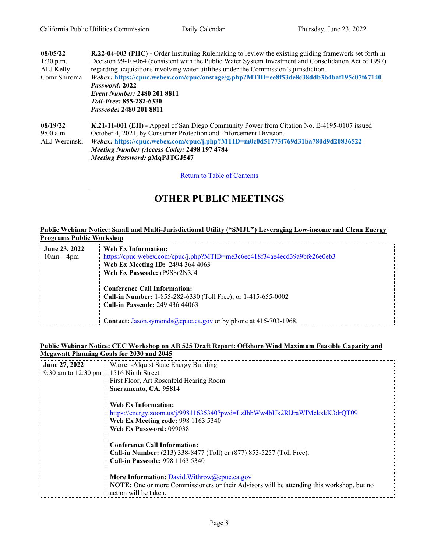| 08/05/22      | R.22-04-003 (PHC) - Order Instituting Rulemaking to review the existing guiding framework set forth in |  |  |
|---------------|--------------------------------------------------------------------------------------------------------|--|--|
| $1:30$ p.m.   | Decision 99-10-064 (consistent with the Public Water System Investment and Consolidation Act of 1997)  |  |  |
| ALJ Kelly     | regarding acquisitions involving water utilities under the Commission's jurisdiction.                  |  |  |
| Comr Shiroma  | Webex: https://cpuc.webex.com/cpuc/onstage/g.php?MTID=ee8f53de8c38ddb3b4baf195c07f67140                |  |  |
|               | Password: 2022                                                                                         |  |  |
|               | Event Number: 2480 201 8811                                                                            |  |  |
|               | <i>Toll-Free:</i> 855-282-6330                                                                         |  |  |
|               | <i>Passcode:</i> 2480 201 8811                                                                         |  |  |
| 08/19/22      | <b>K.21-11-001 (EH)</b> - Appeal of San Diego Community Power from Citation No. E-4195-0107 issued     |  |  |
| $9:00$ a.m.   | October 4, 2021, by Consumer Protection and Enforcement Division.                                      |  |  |
| ALJ Wercinski | Webex: https://cpuc.webex.com/cpuc/j.php?MTID=m0c0d51773f769d31ba780d9d20836522                        |  |  |
|               | Meeting Number (Access Code): 2498 197 4784                                                            |  |  |
|               | <b>Meeting Password: gMqPJTGJ547</b>                                                                   |  |  |
|               |                                                                                                        |  |  |

Return to Table of [Contents](#page-0-1)

# <span id="page-7-0"></span>**OTHER PUBLIC MEETINGS**

#### **Public Webinar Notice: Small and Multi-Jurisdictional Utility ("SMJU") Leveraging Low-income and Clean Energy Programs Public Workshop**

| $\frac{1}{2}$ June 23, 2022 | $\pm$ Web Ex Information:                                                |
|-----------------------------|--------------------------------------------------------------------------|
| $10am - 4pm$                | https://cpuc.webex.com/cpuc/j.php?MTID=me3c6ec418f34ae4ecd39a9bfe26e0eb3 |
|                             | Web Ex Meeting ID: 2494 364 4063                                         |
|                             | Web Ex Passcode: rP9S8r2N3J4                                             |
|                             |                                                                          |
|                             | <b>Conference Call Information:</b>                                      |
|                             | Call-in Number: $1-855-282-6330$ (Toll Free); or $1-415-655-0002$        |
|                             | <b>Call-in Passcode: 249 436 44063</b>                                   |
|                             |                                                                          |
|                             | Contact: Jason.symonds@cpuc.ca.gov or by phone at 415-703-1968.          |

#### **Public Webinar Notice: CEC Workshop on AB 525 Draft Report: Offshore Wind Maximum Feasible Capacity and Megawatt Planning Goals for 2030 and 2045**

| June 27, 2022                           | Warren-Alquist State Energy Building                                                      |
|-----------------------------------------|-------------------------------------------------------------------------------------------|
| 9:30 am to 12:30 pm : 1516 Ninth Street |                                                                                           |
|                                         | First Floor, Art Rosenfeld Hearing Room                                                   |
|                                         | Sacramento, CA, 95814                                                                     |
|                                         |                                                                                           |
|                                         | Web Ex Information:                                                                       |
|                                         | https://energy.zoom.us/j/99811635340?pwd=LzJhbWw4bUk2RlJraWlMckxkK3drQT09                 |
|                                         | Web Ex Meeting code: 998 1163 5340                                                        |
|                                         | Web Ex Password: 099038                                                                   |
|                                         |                                                                                           |
|                                         | <b>Conference Call Information:</b>                                                       |
|                                         | Call-in Number: (213) 338-8477 (Toll) or (877) 853-5257 (Toll Free).                      |
|                                         | Call-in Passcode: 998 1163 5340                                                           |
|                                         |                                                                                           |
|                                         | More Information: David.Withrow@cpuc.ca.gov                                               |
|                                         | NOTE: One or more Commissioners or their Advisors will be attending this workshop, but no |
|                                         | action will be taken                                                                      |
|                                         |                                                                                           |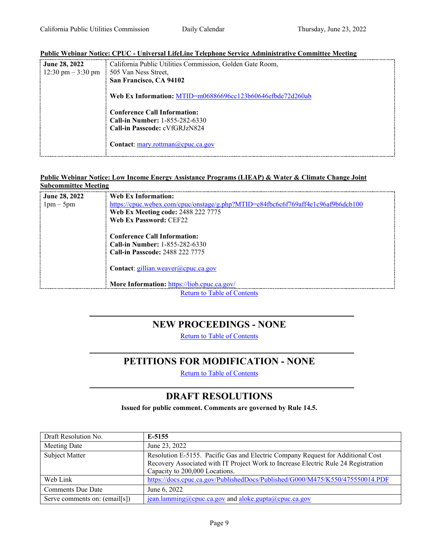#### **Public Webinar Notice: CPUC - Universal LifeLine Telephone Service Administrative Committee Meeting**

| : June 28, 2022                                | California Public Utilities Commission, Golden Gate Room,       |
|------------------------------------------------|-----------------------------------------------------------------|
| $\frac{12:30 \text{ pm} - 3:30 \text{ pm}}{2}$ | 505 Van Ness Street,                                            |
|                                                | San Francisco, CA 94102                                         |
|                                                | Web Ex Information: MTID=m06886696cc123b60646efbde72d260ab      |
|                                                | <b>Conference Call Information:</b>                             |
|                                                | <b>Call-in Number: 1-855-282-6330</b>                           |
|                                                | Call-in Passcode: cVfGRJzN824                                   |
|                                                | <b>Contact:</b> $\frac{mary.rott}{mang}$ <i>(a)</i> cpuc.ca.gov |

#### **Public Webinar Notice: Low Income Energy Assistance Programs (LIEAP) & Water & Climate Change Joint Subcommittee Meeting**

| : June 28, 2022 | Web Ex Information:                                                              |  |  |
|-----------------|----------------------------------------------------------------------------------|--|--|
| $1pm-5pm$       | https://cpuc.webex.com/cpuc/onstage/g.php?MTID=e84fbe6e6f769aff4e1c96af9b6dcb100 |  |  |
|                 | <b>Web Ex Meeting code: 2488 222 7775</b>                                        |  |  |
|                 | Web Ex Password: CEF22                                                           |  |  |
|                 | <b>Conference Call Information:</b>                                              |  |  |
|                 | <b>Call-in Number: 1-855-282-6330</b>                                            |  |  |
|                 | <b>Call-in Passcode: 2488 222 7775</b>                                           |  |  |
|                 | <b>Contact:</b> gillian.weaver@cpuc.ca.gov                                       |  |  |
|                 | More Information: https://liob.cpuc.ca.gov/                                      |  |  |
|                 | <b>Return to Table of Contents</b>                                               |  |  |

### <span id="page-8-0"></span>**NEW PROCEEDINGS - NONE**

Return to Table of [Contents](#page-0-0)

### **PETITIONS FOR MODIFICATION - NONE**

Return to Table of [Contents](#page-0-0)

### <span id="page-8-2"></span>**DRAFT RESOLUTIONS**

**Issued for public comment. Comments are governed by Rule 14.5.**

<span id="page-8-1"></span>

| Draft Resolution No.          | E-5155                                                                                                                                                                                                  |
|-------------------------------|---------------------------------------------------------------------------------------------------------------------------------------------------------------------------------------------------------|
| Meeting Date                  | June 23, 2022                                                                                                                                                                                           |
| Subject Matter                | Resolution E-5155. Pacific Gas and Electric Company Request for Additional Cost<br>Recovery Associated with IT Project Work to Increase Electric Rule 24 Registration<br>Capacity to 200,000 Locations. |
| Web Link                      | https://docs.cpuc.ca.gov/PublishedDocs/Published/G000/M475/K550/475550014.PDF                                                                                                                           |
| <b>Comments Due Date</b>      | June 6, 2022                                                                                                                                                                                            |
| Serve comments on: (email[s]) | $jean. lamining@cpuc.ca.gov$ and $aloke.gupta@cpuc.ca.gov$                                                                                                                                              |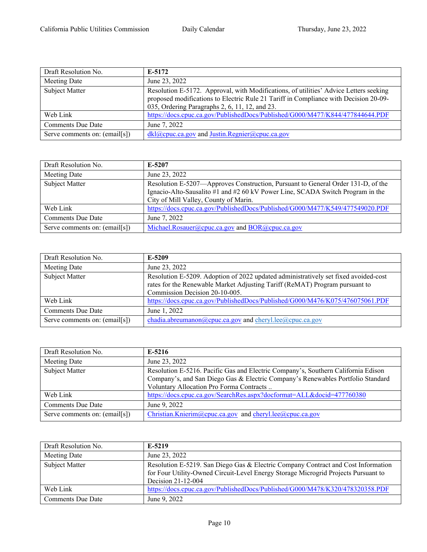| Draft Resolution No.          | E-5172                                                                                                                                                                                                                          |
|-------------------------------|---------------------------------------------------------------------------------------------------------------------------------------------------------------------------------------------------------------------------------|
| Meeting Date                  | June 23, 2022                                                                                                                                                                                                                   |
| Subject Matter                | Resolution E-5172. Approval, with Modifications, of utilities' Advice Letters seeking<br>proposed modifications to Electric Rule 21 Tariff in Compliance with Decision 20-09-<br>035, Ordering Paragraphs 2, 6, 11, 12, and 23. |
| Web Link                      | https://docs.cpuc.ca.gov/PublishedDocs/Published/G000/M477/K844/477844644.PDF                                                                                                                                                   |
| <b>Comments Due Date</b>      | June 7, 2022                                                                                                                                                                                                                    |
| Serve comments on: (email[s]) | $dkl(\omega)$ cpuc.ca.gov and Justin.Regnier $(\omega)$ cpuc.ca.gov                                                                                                                                                             |

| Draft Resolution No.          | E-5207                                                                                                                                                                                                      |
|-------------------------------|-------------------------------------------------------------------------------------------------------------------------------------------------------------------------------------------------------------|
| Meeting Date                  | June 23, 2022                                                                                                                                                                                               |
| Subject Matter                | Resolution E-5207—Approves Construction, Pursuant to General Order 131-D, of the<br>Ignacio-Alto-Sausalito #1 and #2 60 kV Power Line, SCADA Switch Program in the<br>City of Mill Valley, County of Marin. |
| Web Link                      | https://docs.cpuc.ca.gov/PublishedDocs/Published/G000/M477/K549/477549020.PDF                                                                                                                               |
| <b>Comments Due Date</b>      | June 7, 2022                                                                                                                                                                                                |
| Serve comments on: (email[s]) | Michael.Rosauer@cpuc.ca.gov and $BOR$ @cpuc.ca.gov                                                                                                                                                          |

| Draft Resolution No.          | E-5209                                                                                                                                                                                               |
|-------------------------------|------------------------------------------------------------------------------------------------------------------------------------------------------------------------------------------------------|
| Meeting Date                  | June 23, 2022                                                                                                                                                                                        |
| Subject Matter                | Resolution E-5209. Adoption of 2022 updated administratively set fixed avoided-cost<br>rates for the Renewable Market Adjusting Tariff (ReMAT) Program pursuant to<br>Commission Decision 20-10-005. |
| Web Link                      | https://docs.cpuc.ca.gov/PublishedDocs/Published/G000/M476/K075/476075061.PDF                                                                                                                        |
| <b>Comments Due Date</b>      | June 1, 2022                                                                                                                                                                                         |
| Serve comments on: (email[s]) | chadia.abreumanon@cpuc.ca.gov and cheryl.lee@cpuc.ca.gov                                                                                                                                             |

| Draft Resolution No.          | E-5216                                                                            |
|-------------------------------|-----------------------------------------------------------------------------------|
| Meeting Date                  | June 23, 2022                                                                     |
| Subject Matter                | Resolution E-5216. Pacific Gas and Electric Company's, Southern California Edison |
|                               | Company's, and San Diego Gas & Electric Company's Renewables Portfolio Standard   |
|                               | Voluntary Allocation Pro Forma Contracts                                          |
| Web Link                      | https://docs.cpuc.ca.gov/SearchRes.aspx?docformat=ALL&docid=477760380             |
| <b>Comments Due Date</b>      | June 9, 2022                                                                      |
| Serve comments on: (email[s]) | Christian.Knierim@cpuc.ca.gov and cheryl.lee@cpuc.ca.gov                          |

| Draft Resolution No. | E-5219                                                                                                                                                                                        |
|----------------------|-----------------------------------------------------------------------------------------------------------------------------------------------------------------------------------------------|
| Meeting Date         | June 23, 2022                                                                                                                                                                                 |
| Subject Matter       | Resolution E-5219. San Diego Gas & Electric Company Contract and Cost Information<br>for Four Utility-Owned Circuit-Level Energy Storage Microgrid Projects Pursuant to<br>Decision 21-12-004 |
| Web Link             | https://docs.cpuc.ca.gov/PublishedDocs/Published/G000/M478/K320/478320358.PDF                                                                                                                 |
| Comments Due Date    | June 9, 2022                                                                                                                                                                                  |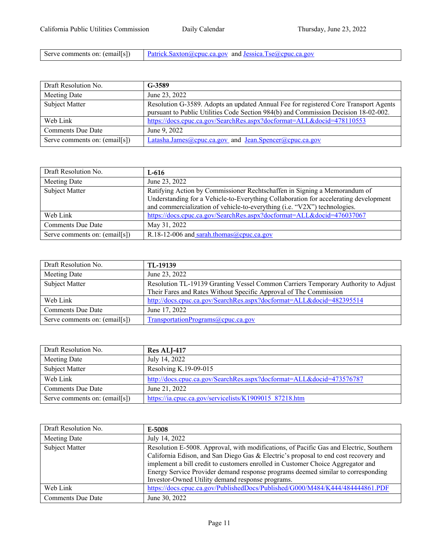ſ

| Serve comments on: (email[s]) | $\Box$ Patrick.Saxton@cpuc.ca.gov and Jessica.Tse@cpuc.ca.gov |
|-------------------------------|---------------------------------------------------------------|
|-------------------------------|---------------------------------------------------------------|

| Draft Resolution No.          | G-3589                                                                               |
|-------------------------------|--------------------------------------------------------------------------------------|
| Meeting Date                  | June 23, 2022                                                                        |
| Subject Matter                | Resolution G-3589. Adopts an updated Annual Fee for registered Core Transport Agents |
|                               | pursuant to Public Utilities Code Section 984(b) and Commission Decision 18-02-002.  |
| Web Link                      | https://docs.cpuc.ca.gov/SearchRes.aspx?docformat=ALL&docid=478110553                |
| <b>Comments Due Date</b>      | June 9, 2022                                                                         |
| Serve comments on: (email[s]) | Latasha.James@cpuc.ca.gov and Jean.Spencer@cpuc.ca.gov                               |

| Draft Resolution No.          | L-616                                                                                                                                                                                                                                          |
|-------------------------------|------------------------------------------------------------------------------------------------------------------------------------------------------------------------------------------------------------------------------------------------|
| Meeting Date                  | June 23, 2022                                                                                                                                                                                                                                  |
| Subject Matter                | Ratifying Action by Commissioner Rechtschaffen in Signing a Memorandum of<br>Understanding for a Vehicle-to-Everything Collaboration for accelerating development<br>and commercialization of vehicle-to-everything (i.e. "V2X") technologies. |
| Web Link                      | https://docs.cpuc.ca.gov/SearchRes.aspx?docformat=ALL&docid=476037067                                                                                                                                                                          |
| <b>Comments Due Date</b>      | May 31, 2022                                                                                                                                                                                                                                   |
| Serve comments on: (email[s]) | R.18-12-006 and sarah.thomas@cpuc.ca.gov                                                                                                                                                                                                       |

| Draft Resolution No.          | TL-19139                                                                          |
|-------------------------------|-----------------------------------------------------------------------------------|
| Meeting Date                  | June 23, 2022                                                                     |
| Subject Matter                | Resolution TL-19139 Granting Vessel Common Carriers Temporary Authority to Adjust |
|                               | Their Fares and Rates Without Specific Approval of The Commission                 |
| Web Link                      | http://docs.cpuc.ca.gov/SearchRes.aspx?docformat=ALL&docid=482395514              |
| <b>Comments Due Date</b>      | June 17, 2022                                                                     |
| Serve comments on: (email[s]) | TransportationPrograms@cpuc.ca.gov                                                |

| Draft Resolution No.          | Res ALJ-417                                                          |
|-------------------------------|----------------------------------------------------------------------|
| Meeting Date                  | July 14, 2022                                                        |
| Subject Matter                | Resolving K.19-09-015                                                |
| Web Link                      | http://docs.cpuc.ca.gov/SearchRes.aspx?docformat=ALL&docid=473576787 |
| Comments Due Date             | June 21, 2022                                                        |
| Serve comments on: (email[s]) | https://ia.cpuc.ca.gov/servicelists/K1909015 87218.htm               |

| Draft Resolution No.     | E-5008                                                                                                                                                                                                                                                                                                                                                                                                   |
|--------------------------|----------------------------------------------------------------------------------------------------------------------------------------------------------------------------------------------------------------------------------------------------------------------------------------------------------------------------------------------------------------------------------------------------------|
| Meeting Date             | July 14, 2022                                                                                                                                                                                                                                                                                                                                                                                            |
| Subject Matter           | Resolution E-5008. Approval, with modifications, of Pacific Gas and Electric, Southern<br>California Edison, and San Diego Gas & Electric's proposal to end cost recovery and<br>implement a bill credit to customers enrolled in Customer Choice Aggregator and<br>Energy Service Provider demand response programs deemed similar to corresponding<br>Investor-Owned Utility demand response programs. |
| Web Link                 | https://docs.cpuc.ca.gov/PublishedDocs/Published/G000/M484/K444/484444861.PDF                                                                                                                                                                                                                                                                                                                            |
| <b>Comments Due Date</b> | June 30, 2022                                                                                                                                                                                                                                                                                                                                                                                            |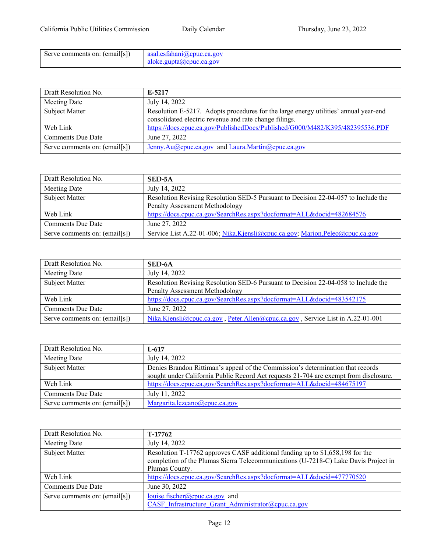| Serve comments on: (email[s]) | $\parallel$ asal.esfahani@cpuc.ca.gov |
|-------------------------------|---------------------------------------|
|                               | aloke.gupta@cpuc.ca.gov               |

| Draft Resolution No.          | E-5217                                                                               |
|-------------------------------|--------------------------------------------------------------------------------------|
| Meeting Date                  | July 14, 2022                                                                        |
| Subject Matter                | Resolution E-5217. Adopts procedures for the large energy utilities' annual year-end |
|                               | consolidated electric revenue and rate change filings.                               |
| Web Link                      | https://docs.cpuc.ca.gov/PublishedDocs/Published/G000/M482/K395/482395536.PDF        |
| <b>Comments Due Date</b>      | June 27, 2022                                                                        |
| Serve comments on: (email[s]) | Jenny.Au@cpuc.ca.gov and Laura.Martin@cpuc.ca.gov                                    |

| Draft Resolution No.          | SED-5A                                                                             |
|-------------------------------|------------------------------------------------------------------------------------|
| Meeting Date                  | July 14, 2022                                                                      |
| Subject Matter                | Resolution Revising Resolution SED-5 Pursuant to Decision 22-04-057 to Include the |
|                               | Penalty Assessment Methodology                                                     |
| Web Link                      | https://docs.cpuc.ca.gov/SearchRes.aspx?docformat=ALL&docid=482684576              |
| <b>Comments Due Date</b>      | June 27, 2022                                                                      |
| Serve comments on: (email[s]) | Service List A.22-01-006; Nika.Kjensli@cpuc.ca.gov; Marion.Peleo@cpuc.ca.gov       |

| Draft Resolution No.          | SED-6A                                                                             |
|-------------------------------|------------------------------------------------------------------------------------|
| Meeting Date                  | July 14, 2022                                                                      |
| Subject Matter                | Resolution Revising Resolution SED-6 Pursuant to Decision 22-04-058 to Include the |
|                               | Penalty Assessment Methodology                                                     |
| Web Link                      | https://docs.cpuc.ca.gov/SearchRes.aspx?docformat=ALL&docid=483542175              |
| <b>Comments Due Date</b>      | June 27, 2022                                                                      |
| Serve comments on: (email[s]) | Nika.Kjensli@cpuc.ca.gov, Peter.Allen@cpuc.ca.gov, Service List in A.22-01-001     |

| Draft Resolution No.          | L-617                                                                                 |
|-------------------------------|---------------------------------------------------------------------------------------|
| Meeting Date                  | July 14, 2022                                                                         |
| Subject Matter                | Denies Brandon Rittiman's appeal of the Commission's determination that records       |
|                               | sought under California Public Record Act requests 21-704 are exempt from disclosure. |
| Web Link                      | https://docs.cpuc.ca.gov/SearchRes.aspx?docformat=ALL&docid=484675197                 |
| <b>Comments Due Date</b>      | July 11, 2022                                                                         |
| Serve comments on: (email[s]) | Margarita.lezcano@cpuc.ca.gov                                                         |

| Draft Resolution No.          | T-17762                                                                                                                                                                                |
|-------------------------------|----------------------------------------------------------------------------------------------------------------------------------------------------------------------------------------|
| Meeting Date                  | July 14, 2022                                                                                                                                                                          |
| Subject Matter                | Resolution T-17762 approves CASF additional funding up to \$1,658,198 for the<br>completion of the Plumas Sierra Telecommunications (U-7218-C) Lake Davis Project in<br>Plumas County. |
| Web Link                      | https://docs.cpuc.ca.gov/SearchRes.aspx?docformat=ALL&docid=477770520                                                                                                                  |
| <b>Comments Due Date</b>      | June 30, 2022                                                                                                                                                                          |
| Serve comments on: (email[s]) | louise.fischer@cpuc.ca.gov and<br>CASF Infrastructure Grant Administrator@cpuc.ca.gov                                                                                                  |